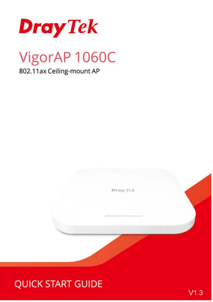

# VigorAP 1060C 802.11ax Ceiling-mount AP

Dray Tek

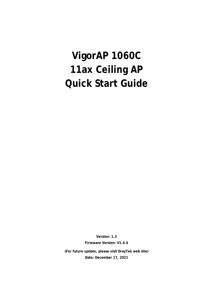# **VigorAP 1060C 11ax Ceiling AP Quick Start Guide**

**Version: 1.3 Firmware Version: V1.4.4** 

**(For future update, please visit DrayTek web site) Date: December 17, 2021**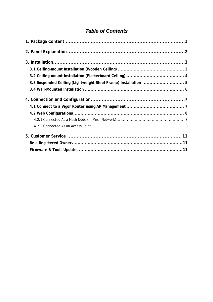### *Table of Contents*

| 3.3 Suspended Ceiling (Lightweight Steel Frame) Installation  5 |  |
|-----------------------------------------------------------------|--|
|                                                                 |  |
|                                                                 |  |
|                                                                 |  |
|                                                                 |  |
|                                                                 |  |
|                                                                 |  |
|                                                                 |  |
|                                                                 |  |
|                                                                 |  |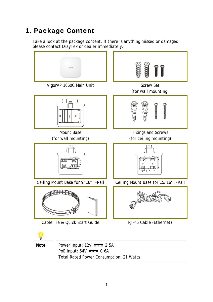# 1. Package Content

Take a look at the package content. If there is anything missed or damaged, please contact DrayTek or dealer immediately.

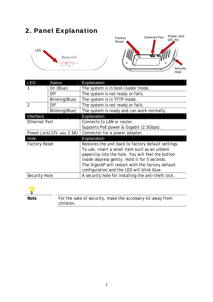#### 2. Panel Explanation Ethernet Port Power Jack<br> **DC\_IN** Factory Reset LED **Dray** Tek Security Hole

| <b>LED</b>           | <b>Status</b>             | <b>Explanation</b>                                                                                                                                                                                                                                     |
|----------------------|---------------------------|--------------------------------------------------------------------------------------------------------------------------------------------------------------------------------------------------------------------------------------------------------|
|                      | On (Blue)                 | The system is in boot-loader mode.                                                                                                                                                                                                                     |
|                      | Off                       | The system is not ready or fails.                                                                                                                                                                                                                      |
|                      | Blinking(Blue)            | The system is in TFTP mode.                                                                                                                                                                                                                            |
| $\overline{2}$       | <b>Off</b>                | The system is not ready or fails.                                                                                                                                                                                                                      |
|                      | Blinking(Blue)            | The system is ready and can work normally.                                                                                                                                                                                                             |
| Interface            |                           | Explanation                                                                                                                                                                                                                                            |
| <b>Ethernet Port</b> |                           | Connects to LAN or router.                                                                                                                                                                                                                             |
|                      |                           | Supports PoE power & Gigabit (2.5Gbps).                                                                                                                                                                                                                |
|                      | Power Jack $(12V = 2.5A)$ | Connecter for a power adapter.                                                                                                                                                                                                                         |
| Hole                 |                           | <b>Explanation</b>                                                                                                                                                                                                                                     |
| <b>Factory Reset</b> |                           | Restores the unit back to factory default settings.                                                                                                                                                                                                    |
|                      |                           | To use, insert a small item such as an unbent<br>paperclip into the hole. You will feel the button<br>inside depress gently. Hold it for 5 seconds.<br>The VigorAP will restart with the factory default<br>configuration and the LED will blink blue. |
| Security Hole        |                           | A security hole for installing the anti-theft lock.                                                                                                                                                                                                    |

**Note** For the sake of security, make the accessory kit away from children.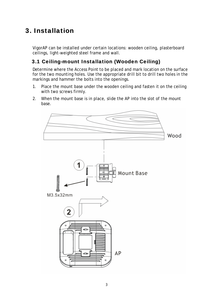# 3. Installation

VigorAP can be installed under certain locations: wooden ceiling, plasterboard ceilings, light-weighted steel frame and wall.

#### 3.1 Ceiling-mount Installation (Wooden Ceiling)

Determine where the Access Point to be placed and mark location on the surface for the two mounting holes. Use the appropriate drill bit to drill two holes in the markings and hammer the bolts into the openings.

- 1. Place the mount base under the wooden ceiling and fasten it on the ceiling with two screws firmly.
- 2. When the mount base is in place, slide the AP into the slot of the mount base.

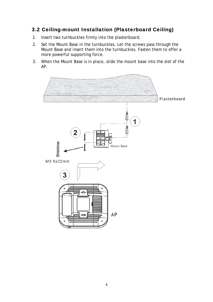#### 3.2 Ceiling-mount Installation (Plasterboard Ceiling)

- 1. Insert two turnbuckles firmly into the plasterboard.
- 2. Set the Mount Base in the turnbuckles. Let the screws pass through the Mount Base and insert them into the turnbuckles. Fasten them to offer a more powerful supporting force.
- 3. When the Mount Base is in place, slide the mount base into the slot of the AP.

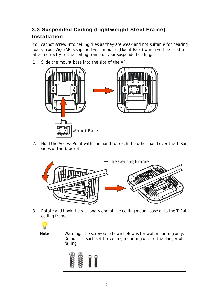## 3.3 Suspended Ceiling (Lightweight Steel Frame) Installation

You cannot screw into ceiling tiles as they are weak and not suitable for bearing loads. Your VigorAP is supplied with mounts (Mount Base) which will be used to attach directly to the ceiling frame of your suspended ceiling.

1. Slide the mount base into the slot of the AP.



2. Hold the Access Point with one hand to reach the other hand over the T-Rail sides of the bracket.



3. Rotate and hook the stationary end of the ceiling mount base onto the T-Rail ceiling frame.

**Note** Warning: The screw set shown below is for wall mounting only. Do not use such set for ceiling mounting due to the danger of falling.

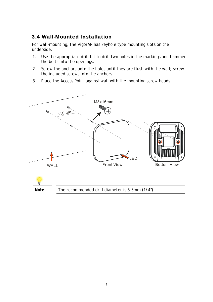### 3.4 Wall-Mounted Installation

For wall-mounting, the VigorAP has keyhole type mounting slots on the underside.

- 1. Use the appropriate drill bit to drill two holes in the markings and hammer the bolts into the openings.
- 2. Screw the anchors unto the holes until they are flush with the wall; screw the included screws into the anchors.
- 3. Place the Access Point against wall with the mounting screw heads.

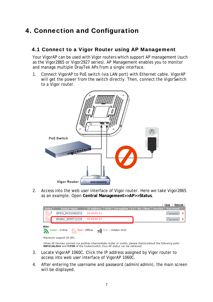# 4. Connection and Configuration

#### 4.1 Connect to a Vigor Router using AP Management

Your VigorAP can be used with Vigor routers which support AP management (such as the Vigor2865 or Vigor2927 series). AP Management enables you to monitor and manage multiple DrayTek APs from a single interface.

1. Connect VigorAP to PoE switch (via LAN port) with Ethernet cable. VigorAP will get the power from the switch directly. Then, connect the VigorSwitch to a Vigor router.



2. Access into the web user interface of Vigor router. Here we take Vigor2865 as an example. Open **Central Management>>AP>>Status**.



When AP Devices connect via another intermediate router or switch, please check/unblock the following ports UDP:67,68,4944 and TCP:80 of the router/switch, thus AP status can be retrieved.

- 3. Locate VigorAP 1060C. Click the IP address assigned by Vigor router to access into web user interface of VigorAP 1060C.
- 4. After entering the username and password (admin/admin), the main screen will be displayed.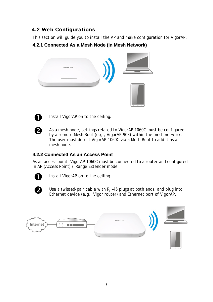### 4.2 Web Configurations

This section will guide you to install the AP and make configuration for VigorAP.

#### **4.2.1 Connected As a Mesh Node (in Mesh Network)**





**Install VigorAP on to the ceiling.** 

As a mesh node, settings related to VigorAP 1060C must be configured by a remote Mesh Root (e.g., VigorAP 903) within the mesh network. The user must detect VigorAP 1060C via a Mesh Root to add it as a mesh node.

#### **4.2.2 Connected As an Access Point**

As an access point, VigorAP 1060C must be connected to a router and configured in AP (Access Point) / Range Extender mode.



**Install VigorAP on to the ceiling.** 



Use a twisted-pair cable with RJ-45 plugs at both ends, and plug into Ethernet device (e.g., Vigor router) and Ethernet port of VigorAP.

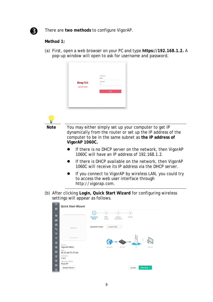

**R** There are two methods to configure VigorAP.

#### **Method 1:**

(a) First, open a web browser on your PC and type **https://192.168.1.2.** A pop-up window will open to ask for username and password.

|                 | <b>User Name</b>      |
|-----------------|-----------------------|
| <b>Dray</b> Tek | admin<br>Password<br> |
| VigorAP1060C    |                       |
|                 | Login                 |
|                 |                       |



**Note** You may either simply set up your computer to get IP dynamically from the router or set up the IP address of the computer to be in the same subnet as **the IP address of VigorAP 1060C.** 

- **If there is no DHCP server on the network, then VigorAP** 1060C will have an IP address of 192.168.1.2.
- **If there is DHCP available on the network, then VigorAP** 1060C will receive its IP address via the DHCP server.
- **If you connect to VigorAP by wireless LAN, you could try** to access the web user interface through http://vigorap.com.
- (b) After clicking **Login, Quick Start Wizard** for configuring wireless settings will appear as follows.

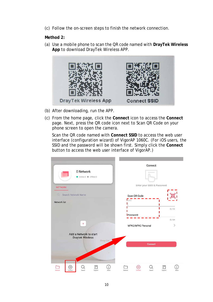(c) Follow the on-screen steps to finish the network connection.

#### **Method 2:**

(a) Use a mobile phone to scan the QR code named with **DrayTek Wireless App** to download DrayTek Wireless APP.



- (b) After downloading, run the APP.
- (c) From the home page, click the **Connect** icon to access the **Connect** page. Next, press the QR code icon next to Scan QR Code on your phone screen to open the camera.

Scan the QR code named with **Connect SSID** to access the web user interface (configuration wizard) of VigorAP 1060C. (For iOS users, the SSID and the password will be shown first. Simply click the **Connect** button to access the web user interface of VigorAP.)

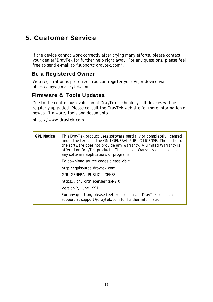## 5. Customer Service

If the device cannot work correctly after trying many efforts, please contact your dealer/DrayTek for further help right away. For any questions, please feel free to send e-mail to "support@draytek.com".

#### Be a Registered Owner

Web registration is preferred. You can register your Vigor device via https://myvigor.draytek.com.

#### Firmware & Tools Updates

Due to the continuous evolution of DrayTek technology, all devices will be regularly upgraded. Please consult the DrayTek web site for more information on newest firmware, tools and documents.

https://www.draytek.com

| <b>GPL Notice</b> | This DrayTek product uses software partially or completely licensed<br>under the terms of the GNU GENERAL PUBLIC LICENSE. The author of<br>the software does not provide any warranty. A Limited Warranty is<br>offered on DrayTek products. This Limited Warranty does not cover<br>any software applications or programs. |
|-------------------|-----------------------------------------------------------------------------------------------------------------------------------------------------------------------------------------------------------------------------------------------------------------------------------------------------------------------------|
|                   | To download source codes please visit:                                                                                                                                                                                                                                                                                      |
|                   | http://gplsource.draytek.com                                                                                                                                                                                                                                                                                                |
|                   | GNU GENERAL PUBLIC LICENSE:                                                                                                                                                                                                                                                                                                 |
|                   | https://gnu.org/licenses/gpl-2.0                                                                                                                                                                                                                                                                                            |
|                   | Version 2, June 1991                                                                                                                                                                                                                                                                                                        |
|                   | For any question, please feel free to contact DrayTek technical<br>support at support@draytek.com for further information.                                                                                                                                                                                                  |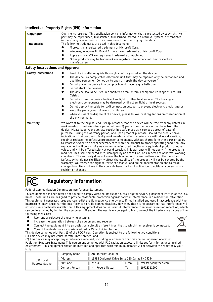#### **Intellectual Property Rights (IPR) Information**

| Copyrights        | $\degree$ All rights reserved. This publication contains information that is protected by copyright. No<br>part may be reproduced, transmitted, transcribed, stored in a retrieval system, or translated<br>into any language without written permission from the copyright holders.                                                                  |  |
|-------------------|-------------------------------------------------------------------------------------------------------------------------------------------------------------------------------------------------------------------------------------------------------------------------------------------------------------------------------------------------------|--|
| <b>Trademarks</b> | The following trademarks are used in this document:<br>Microsoft is a registered trademark of Microsoft Corp.<br>Windows, Windows 8, 10 and Explorer are trademarks of Microsoft Corp.<br>Apple and Mac OS are registered trademarks of Apple Inc.<br>Other products may be trademarks or registered trademarks of their respective<br>manufacturers. |  |

#### **Safety Instructions and Approval**

|                            | sarsty moti astronis and nippi sv                                                                                                                                                                                                                                                                                                                                                                                                                                                                                                                                                                                                                                                                                                                                                                                                                                                                                                                                                                                                                                                                                                                                                                                                                                                                                                                                                                                                    |
|----------------------------|--------------------------------------------------------------------------------------------------------------------------------------------------------------------------------------------------------------------------------------------------------------------------------------------------------------------------------------------------------------------------------------------------------------------------------------------------------------------------------------------------------------------------------------------------------------------------------------------------------------------------------------------------------------------------------------------------------------------------------------------------------------------------------------------------------------------------------------------------------------------------------------------------------------------------------------------------------------------------------------------------------------------------------------------------------------------------------------------------------------------------------------------------------------------------------------------------------------------------------------------------------------------------------------------------------------------------------------------------------------------------------------------------------------------------------------|
| <b>Safety Instructions</b> | Read the installation guide thoroughly before you set up the device.<br>The device is a complicated electronic unit that may be repaired only be authorized and<br>qualified personnel. Do not try to open or repair the device yourself.                                                                                                                                                                                                                                                                                                                                                                                                                                                                                                                                                                                                                                                                                                                                                                                                                                                                                                                                                                                                                                                                                                                                                                                            |
|                            | Do not place the device in a damp or humid place, e.g. a bathroom.                                                                                                                                                                                                                                                                                                                                                                                                                                                                                                                                                                                                                                                                                                                                                                                                                                                                                                                                                                                                                                                                                                                                                                                                                                                                                                                                                                   |
|                            | Do not stack the devices.                                                                                                                                                                                                                                                                                                                                                                                                                                                                                                                                                                                                                                                                                                                                                                                                                                                                                                                                                                                                                                                                                                                                                                                                                                                                                                                                                                                                            |
|                            | The device should be used in a sheltered area, within a temperature range of 0 to $+40$<br>Celsius.                                                                                                                                                                                                                                                                                                                                                                                                                                                                                                                                                                                                                                                                                                                                                                                                                                                                                                                                                                                                                                                                                                                                                                                                                                                                                                                                  |
|                            | Do not expose the device to direct sunlight or other heat sources. The housing and<br>electronic components may be damaged by direct sunlight or heat sources.                                                                                                                                                                                                                                                                                                                                                                                                                                                                                                                                                                                                                                                                                                                                                                                                                                                                                                                                                                                                                                                                                                                                                                                                                                                                       |
|                            | Do not deploy the cable for LAN connection outdoor to prevent electronic shock hazards.<br>Keep the package out of reach of children.                                                                                                                                                                                                                                                                                                                                                                                                                                                                                                                                                                                                                                                                                                                                                                                                                                                                                                                                                                                                                                                                                                                                                                                                                                                                                                |
|                            | When you want to dispose of the device, please follow local regulations on conservation of<br>the environment.                                                                                                                                                                                                                                                                                                                                                                                                                                                                                                                                                                                                                                                                                                                                                                                                                                                                                                                                                                                                                                                                                                                                                                                                                                                                                                                       |
| Warranty                   | We warrant to the original end user (purchaser) that the device will be free from any defects in<br>workmanship or materials for a period of two (2) years from the date of purchase from the<br>dealer. Please keep your purchase receipt in a safe place as it serves as proof of date of<br>purchase. During the warranty period, and upon proof of purchase, should the product have<br>indications of failure due to faulty workmanship and/or materials, we will, at our discretion,<br>repair or replace the defective products or components, without charge for either parts or labor,<br>to whatever extent we deem necessary tore-store the product to proper operating condition. Any<br>replacement will consist of a new or re-manufactured functionally equivalent product of equal<br>value, and will be offered solely at our discretion. This warranty will not apply if the product is<br>modified, misused, tampered with, damaged by an act of God, or subjected to abnormal working<br>conditions. The warranty does not cover the bundled or licensed software of other vendors.<br>Defects which do not significantly affect the usability of the product will not be covered by the<br>warranty. We reserve the right to revise the manual and online documentation and to make<br>changes from time to time in the contents hereof without obligation to notify any person of such<br>revision or changes. |

#### **Regulatory Information**

Federal Communication Commission Interference Statement

This equipment has been tested and found to comply with the limits for a Class B digital device, pursuant to Part 15 of the FCC Rules. These limits are designed to provide reasonable protection against harmful interference in a residential installation. This equipment generates, uses and can radiate radio frequency energy and, if not installed and used in accordance with the instructions, may cause harmful interference to radio communications. However, there is no guarantee that interference will not occur in a particular installation. If this equipment does cause harmful interference to radio or television reception, which can be determined by turning the equipment off and on, the user is encouraged to try to correct the interference by one of the following measures:

- Reorient or relocate the receiving antenna.
- **•** Increase the separation between the equipment and receiver. Connect the equipment into an outlet on a circuit different from that to which the receiver is connected.
- 
- Consult the dealer or an experienced radio/TV technician for help. This device complies with Part 15 of the FCC Rules. Operation is subject to the following two conditions: (1) This device may not cause harmful interference, and

(2) This device may accept any interference received, including interference that may cause undesired operation. Radiation Exposure Statement: This equipment complies with FCC radiation exposure limits set forth for an uncontrolled environment. This equipment should be installed and operated with minimum distance 20cm between the radiator & your body.

|                | ABP International Inc.<br>Company name |                                                |        |                     |
|----------------|----------------------------------------|------------------------------------------------|--------|---------------------|
| USA Local      | Address                                | 13988 Diplomat Drive Suite 180 Dallas TX 75234 |        |                     |
| Representative | ZIP Code                               | 75234                                          | E-mail | rmesser@abptech.com |
|                | Contact Person                         | Mr. Robert Messer                              | Tel.   | 19728311600         |